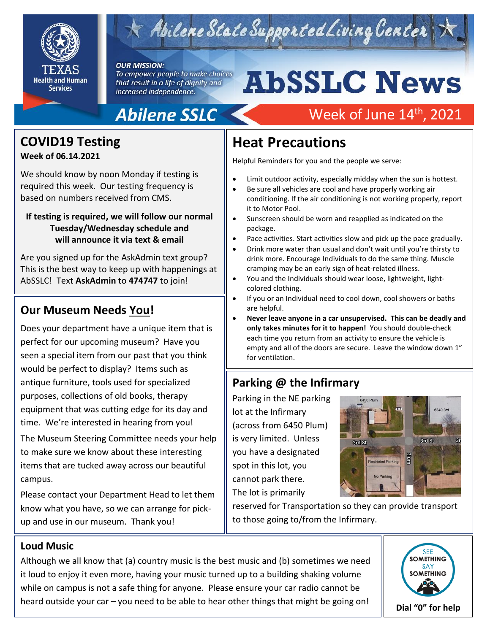

# Abilene State Supported Living Center

#### **OUR MISSION:**

To empower people to make choices that result in a life of dignity and increased independence.

# **AbSSLC News** Week of June 14<sup>th</sup>, 2021

# **Abilene SSLC**

## **COVID19 Testing**

#### **Week of 06.14.2021**

We should know by noon Monday if testing is required this week. Our testing frequency is based on numbers received from CMS.

#### **If testing is required, we will follow our normal Tuesday/Wednesday schedule and will announce it via text & email**

Are you signed up for the AskAdmin text group? This is the best way to keep up with happenings at AbSSLC! Text **AskAdmin** to **474747** to join!

## **Our Museum Needs You!**

Does your department have a unique item that is perfect for our upcoming museum? Have you seen a special item from our past that you think would be perfect to display? Items such as antique furniture, tools used for specialized purposes, collections of old books, therapy equipment that was cutting edge for its day and time. We're interested in hearing from you!

The Museum Steering Committee needs your help to make sure we know about these interesting items that are tucked away across our beautiful campus.

Please contact your Department Head to let them know what you have, so we can arrange for pickup and use in our museum. Thank you!

## **Heat Precautions**

Helpful Reminders for you and the people we serve:

- Limit outdoor activity, especially midday when the sun is hottest.
- Be sure all vehicles are cool and have properly working air conditioning. If the air conditioning is not working properly, report it to Motor Pool.
- Sunscreen should be worn and reapplied as indicated on the package.
- Pace activities. Start activities slow and pick up the pace gradually.
- Drink more water than usual and don't wait until you're thirsty to drink more. Encourage Individuals to do the same thing. Muscle cramping may be an early sign of heat-related illness.
- You and the Individuals should wear loose, lightweight, lightcolored clothing.
- If you or an Individual need to cool down, cool showers or baths are helpful.
- 2019 **Never leave anyone in a car unsupervised. This can be deadly and only takes minutes for it to happen!** You should double-check each time you return from an activity to ensure the vehicle is empty and all of the doors are secure. Leave the window down 1" for ventilation.

## **Parking @ the Infirmary**

Parking in the NE parking lot at the Infirmary (across from 6450 Plum) is very limited. Unless you have a designated spot in this lot, you cannot park there. The lot is primarily



reserved for Transportation so they can provide transport to those going to/from the Infirmary.

### **Loud Music**

Although we all know that (a) country music is the best music and (b) sometimes we need it loud to enjoy it even more, having your music turned up to a building shaking volume while on campus is not a safe thing for anyone. Please ensure your car radio cannot be heard outside your car – you need to be able to hear other things that might be going on!